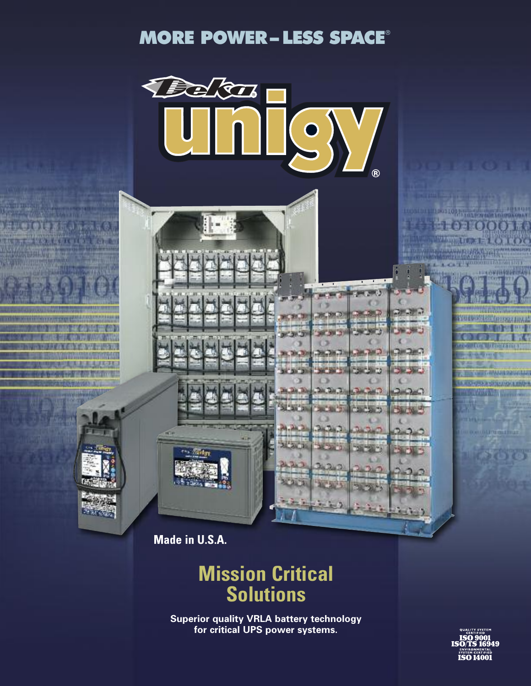## **MORE POWER– LESS SPACE**®



**Made in U.S.A.**

## **Mission Critical Solutions**

**Superior quality VRLA battery technology for critical UPS power systems.**

**ISO 9001**<br>**ISO/TS 16949 SYSTEM CERTIFIED**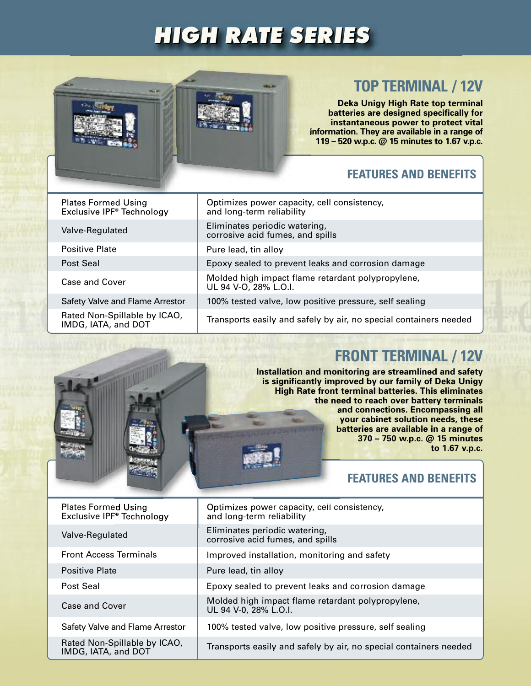# *HIGH RATE SERIES*



## **TOP TERMINAL / 12V**

**Deka Unigy High Rate top terminal batteries are designed specifically for instantaneous power to protect vital information. They are available in a range of 119 – 520 w.p.c. @ 15 minutes to 1.67 v.p.c.**

#### **FEATURES AND BENEFITS**

| <b>Plates Formed Using</b><br>Exclusive IPF <sup>®</sup> Technology | Optimizes power capacity, cell consistency,<br>and long-term reliability   |
|---------------------------------------------------------------------|----------------------------------------------------------------------------|
| Valve-Regulated                                                     | Eliminates periodic watering,<br>corrosive acid fumes, and spills          |
| <b>Positive Plate</b>                                               | Pure lead, tin alloy                                                       |
| Post Seal                                                           | Epoxy sealed to prevent leaks and corrosion damage                         |
| Case and Cover                                                      | Molded high impact flame retardant polypropylene,<br>UL 94 V-O, 28% L.O.I. |
| Safety Valve and Flame Arrestor                                     | 100% tested valve, low positive pressure, self sealing                     |
| Rated Non-Spillable by ICAO,<br>IMDG, IATA, and DOT                 | Transports easily and safely by air, no special containers needed          |

## **FRONT TERMINAL / 12V**

**Installation and monitoring are streamlined and safety is significantly improved by our family of Deka Unigy High Rate front terminal batteries. This eliminates the need to reach over battery terminals and connections. Encompassing all your cabinet solution needs, these batteries are available in a range of 370 – 750 w.p.c. @ 15 minutes to 1.67 v.p.c.**

#### **FEATURES AND BENEFITS**

| <b>Plates Formed Using</b><br>Exclusive IPF <sup>®</sup> Technology | Optimizes power capacity, cell consistency,<br>and long-term reliability   |
|---------------------------------------------------------------------|----------------------------------------------------------------------------|
| Valve-Regulated                                                     | Eliminates periodic watering,<br>corrosive acid fumes, and spills          |
| <b>Front Access Terminals</b>                                       | Improved installation, monitoring and safety                               |
| <b>Positive Plate</b>                                               | Pure lead, tin alloy                                                       |
| Post Seal                                                           | Epoxy sealed to prevent leaks and corrosion damage                         |
| Case and Cover                                                      | Molded high impact flame retardant polypropylene,<br>UL 94 V-0, 28% L.O.I. |
| Safety Valve and Flame Arrestor                                     | 100% tested valve, low positive pressure, self sealing                     |
| Rated Non-Spillable by ICAO,<br>IMDG, IATA, and DOT                 | Transports easily and safely by air, no special containers needed          |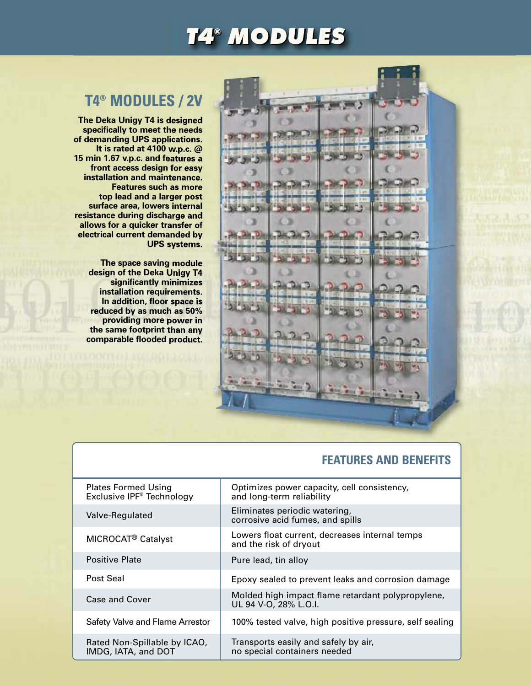# *T4® MODULES ® MODULES*

## **T4® MODULES / 2V**

**The Deka Unigy T4 is designed specifically to meet the needs of demanding UPS applications. It is rated at 4100 w.p.c. @ 15 min 1.67 v.p.c. and features a front access design for easy installation and maintenance. Features such as more top lead and a larger post surface area, lowers internal resistance during discharge and allows for a quicker transfer of electrical current demanded by UPS systems.**

> **The space saving module design of the Deka Unigy T4 significantly minimizes installation requirements. In addition, floor space is reduced by as much as 50% providing more power in the same footprint than any comparable flooded product.**



### **FEATURES AND BENEFITS**

| <b>Plates Formed Using</b><br>Exclusive IPF <sup>®</sup> Technology | Optimizes power capacity, cell consistency,<br>and long-term reliability   |
|---------------------------------------------------------------------|----------------------------------------------------------------------------|
| Valve-Regulated                                                     | Eliminates periodic watering,<br>corrosive acid fumes, and spills          |
| MICROCAT <sup>®</sup> Catalyst                                      | Lowers float current, decreases internal temps<br>and the risk of dryout   |
| Positive Plate                                                      | Pure lead, tin alloy                                                       |
| Post Seal                                                           | Epoxy sealed to prevent leaks and corrosion damage                         |
| Case and Cover                                                      | Molded high impact flame retardant polypropylene,<br>UL 94 V-O, 28% L.O.I. |
| Safety Valve and Flame Arrestor                                     | 100% tested valve, high positive pressure, self sealing                    |
| Rated Non-Spillable by ICAO,<br>IMDG, IATA, and DOT                 | Transports easily and safely by air,<br>no special containers needed       |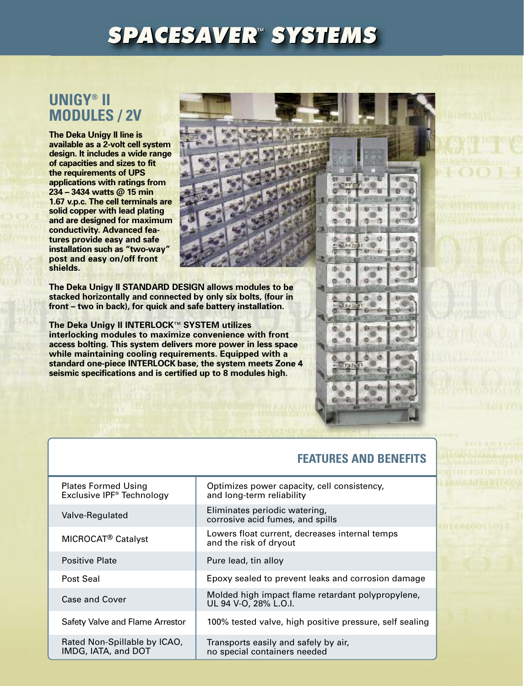# *SPACESAVER™ SPACESAVER SYSTEMS ™ SYSTEMS*

### **UNIGY® II MODULES / 2V**

**The Deka Unigy II line is available as a 2-volt cell system design. It includes a wide range of capacities and sizes to fit the requirements of UPS applications with ratings from 234 – 3434 watts @ 15 min 1.67 v.p.c. The cell terminals are solid copper with lead plating and are designed for maximum conductivity. Advanced features provide easy and safe installation such as "two-way" post and easy on/off front shields.**

**The Deka Unigy II STANDARD DESIGN allows modules to be stacked horizontally and connected by only six bolts, (four in front – two in back), for quick and safe battery installation.**

**The Deka Unigy II INTERLOCK**™ **SYSTEM utilizes interlocking modules to maximize convenience with front access bolting. This system delivers more power in less space while maintaining cooling requirements. Equipped with a standard one-piece INTERLOCK base, the system meets Zone 4 seismic specifications and is certified up to 8 modules high.**

#### **FEATURES AND BENEFITS**

15  $\mathbf{d}$ 

16 n

> a æ

遗

| <b>Plates Formed Using</b><br>Exclusive IPF <sup>®</sup> Technology | Optimizes power capacity, cell consistency,<br>and long-term reliability   |
|---------------------------------------------------------------------|----------------------------------------------------------------------------|
| Valve-Regulated                                                     | Eliminates periodic watering,<br>corrosive acid fumes, and spills          |
| MICROCAT <sup>®</sup> Catalyst                                      | Lowers float current, decreases internal temps<br>and the risk of dryout   |
| <b>Positive Plate</b>                                               | Pure lead, tin alloy                                                       |
| Post Seal                                                           | Epoxy sealed to prevent leaks and corrosion damage                         |
| Case and Cover                                                      | Molded high impact flame retardant polypropylene,<br>UL 94 V-O, 28% L.O.I. |
| Safety Valve and Flame Arrestor                                     | 100% tested valve, high positive pressure, self sealing                    |
| Rated Non-Spillable by ICAO,<br>IMDG, IATA, and DOT                 | Transports easily and safely by air,<br>no special containers needed       |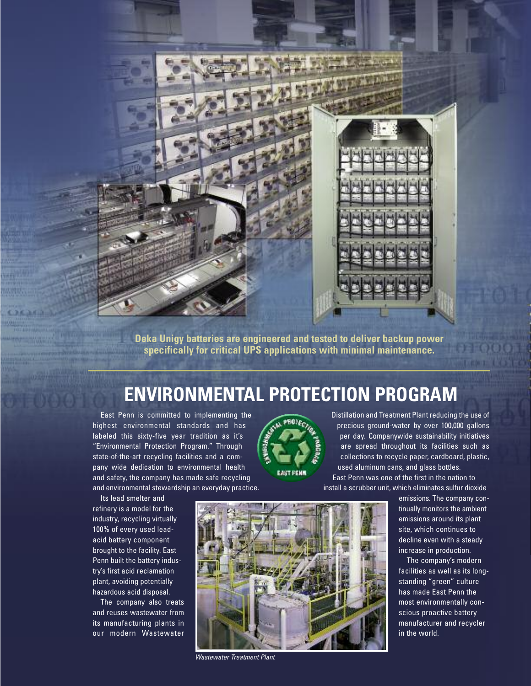

**Deka Unigy batteries are engineered and tested to deliver backup power specifically for critical UPS applications with minimal maintenance.**

# **ENVIRONMENTAL PROTECTION PROGRAM**

East Penn is committed to implementing the highest environmental standards and has labeled this sixty-five year tradition as it's "Environmental Protection Program." Through state-of-the-art recycling facilities and a company wide dedication to environmental health and safety, the company has made safe recycling and environmental stewardship an everyday practice.

Its lead smelter and refinery is a model for the industry, recycling virtually 100% of every used leadacid battery component brought to the facility. East Penn built the battery industry's first acid reclamation plant, avoiding potentially hazardous acid disposal.

The company also treats and reuses wastewater from its manufacturing plants in our modern Wastewater



Distillation and Treatment Plant reducing the use of precious ground-water by over 100,000 gallons per day. Companywide sustainability initiatives are spread throughout its facilities such as collections to recycle paper, cardboard, plastic, used aluminum cans, and glass bottles.

East Penn was one of the first in the nation to install a scrubber unit, which eliminates sulfur dioxide

> emissions. The company continually monitors the ambient emissions around its plant site, which continues to decline even with a steady increase in production.

**INTENTIFI** 

The company's modern facilities as well as its longstanding "green" culture has made East Penn the most environmentally conscious proactive battery manufacturer and recycler in the world.



*Wastewater Treatment Plant*